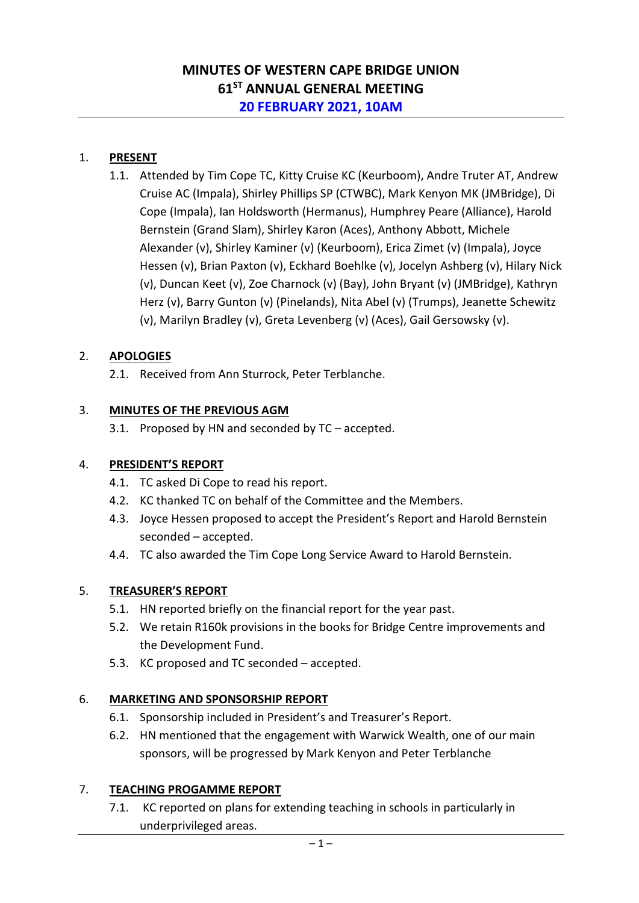# MINUTES OF WESTERN CAPE BRIDGE UNION 61ST ANNUAL GENERAL MEETING 20 FEBRUARY 2021, 10AM

#### 1. PRESENT

1.1. Attended by Tim Cope TC, Kitty Cruise KC (Keurboom), Andre Truter AT, Andrew Cruise AC (Impala), Shirley Phillips SP (CTWBC), Mark Kenyon MK (JMBridge), Di Cope (Impala), Ian Holdsworth (Hermanus), Humphrey Peare (Alliance), Harold Bernstein (Grand Slam), Shirley Karon (Aces), Anthony Abbott, Michele Alexander (v), Shirley Kaminer (v) (Keurboom), Erica Zimet (v) (Impala), Joyce Hessen (v), Brian Paxton (v), Eckhard Boehlke (v), Jocelyn Ashberg (v), Hilary Nick (v), Duncan Keet (v), Zoe Charnock (v) (Bay), John Bryant (v) (JMBridge), Kathryn Herz (v), Barry Gunton (v) (Pinelands), Nita Abel (v) (Trumps), Jeanette Schewitz (v), Marilyn Bradley (v), Greta Levenberg (v) (Aces), Gail Gersowsky (v).

## 2. APOLOGIES

2.1. Received from Ann Sturrock, Peter Terblanche.

## 3. MINUTES OF THE PREVIOUS AGM

3.1. Proposed by HN and seconded by TC – accepted.

#### 4. PRESIDENT'S REPORT

- 4.1. TC asked Di Cope to read his report.
- 4.2. KC thanked TC on behalf of the Committee and the Members.
- 4.3. Joyce Hessen proposed to accept the President's Report and Harold Bernstein seconded – accepted.
- 4.4. TC also awarded the Tim Cope Long Service Award to Harold Bernstein.

#### 5. TREASURER'S REPORT

- 5.1. HN reported briefly on the financial report for the year past.
- 5.2. We retain R160k provisions in the books for Bridge Centre improvements and the Development Fund.
- 5.3. KC proposed and TC seconded accepted.

#### 6. MARKETING AND SPONSORSHIP REPORT

- 6.1. Sponsorship included in President's and Treasurer's Report.
- 6.2. HN mentioned that the engagement with Warwick Wealth, one of our main sponsors, will be progressed by Mark Kenyon and Peter Terblanche

# 7. TEACHING PROGAMME REPORT

7.1. KC reported on plans for extending teaching in schools in particularly in underprivileged areas.